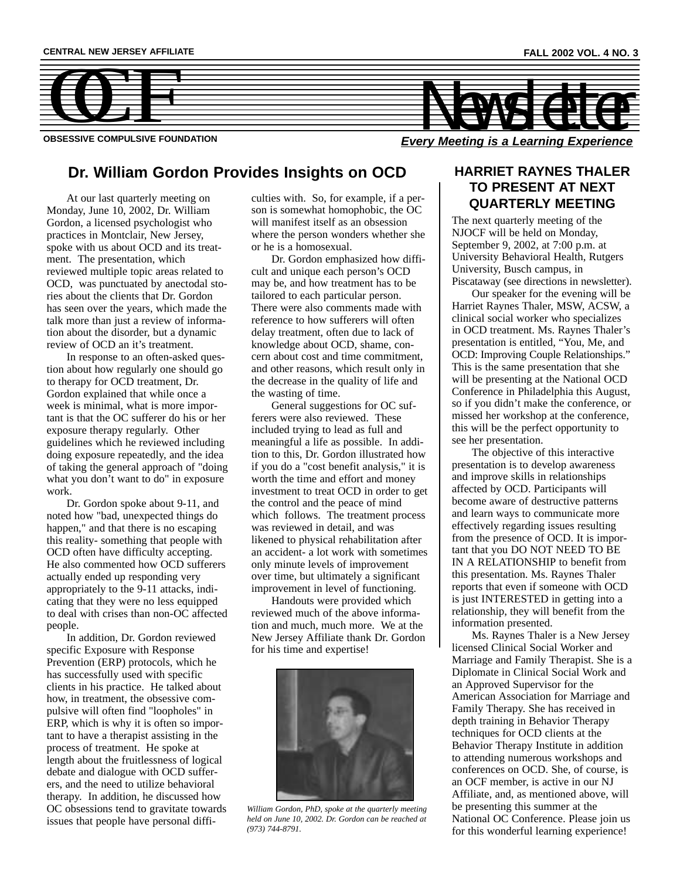

# **Dr. William Gordon Provides Insights on OCD**

At our last quarterly meeting on Monday, June 10, 2002, Dr. William Gordon, a licensed psychologist who practices in Montclair, New Jersey, spoke with us about OCD and its treatment. The presentation, which reviewed multiple topic areas related to OCD, was punctuated by anectodal stories about the clients that Dr. Gordon has seen over the years, which made the talk more than just a review of information about the disorder, but a dynamic review of OCD an it's treatment.

In response to an often-asked question about how regularly one should go to therapy for OCD treatment, Dr. Gordon explained that while once a week is minimal, what is more important is that the OC sufferer do his or her exposure therapy regularly. Other guidelines which he reviewed including doing exposure repeatedly, and the idea of taking the general approach of "doing what you don't want to do" in exposure work.

Dr. Gordon spoke about 9-11, and noted how "bad, unexpected things do happen," and that there is no escaping this reality- something that people with OCD often have difficulty accepting. He also commented how OCD sufferers actually ended up responding very appropriately to the 9-11 attacks, indicating that they were no less equipped to deal with crises than non-OC affected people.

In addition, Dr. Gordon reviewed specific Exposure with Response Prevention (ERP) protocols, which he has successfully used with specific clients in his practice. He talked about how, in treatment, the obsessive compulsive will often find "loopholes" in ERP, which is why it is often so important to have a therapist assisting in the process of treatment. He spoke at length about the fruitlessness of logical debate and dialogue with OCD sufferers, and the need to utilize behavioral therapy. In addition, he discussed how OC obsessions tend to gravitate towards issues that people have personal difficulties with. So, for example, if a person is somewhat homophobic, the OC will manifest itself as an obsession where the person wonders whether she or he is a homosexual.

Dr. Gordon emphasized how difficult and unique each person's OCD may be, and how treatment has to be tailored to each particular person. There were also comments made with reference to how sufferers will often delay treatment, often due to lack of knowledge about OCD, shame, concern about cost and time commitment, and other reasons, which result only in the decrease in the quality of life and the wasting of time.

General suggestions for OC sufferers were also reviewed. These included trying to lead as full and meaningful a life as possible. In addition to this, Dr. Gordon illustrated how if you do a "cost benefit analysis," it is worth the time and effort and money investment to treat OCD in order to get the control and the peace of mind which follows. The treatment process was reviewed in detail, and was likened to physical rehabilitation after an accident- a lot work with sometimes only minute levels of improvement over time, but ultimately a significant improvement in level of functioning.

Handouts were provided which reviewed much of the above information and much, much more. We at the New Jersey Affiliate thank Dr. Gordon for his time and expertise!



*William Gordon, PhD, spoke at the quarterly meeting held on June 10, 2002. Dr. Gordon can be reached at (973) 744-8791.*

### **HARRIET RAYNES THALER TO PRESENT AT NEXT QUARTERLY MEETING**

The next quarterly meeting of the NJOCF will be held on Monday, September 9, 2002, at 7:00 p.m. at University Behavioral Health, Rutgers University, Busch campus, in Piscataway (see directions in newsletter).

Our speaker for the evening will be Harriet Raynes Thaler, MSW, ACSW, a clinical social worker who specializes in OCD treatment. Ms. Raynes Thaler's presentation is entitled, "You, Me, and OCD: Improving Couple Relationships." This is the same presentation that she will be presenting at the National OCD Conference in Philadelphia this August, so if you didn't make the conference, or missed her workshop at the conference, this will be the perfect opportunity to see her presentation.

The objective of this interactive presentation is to develop awareness and improve skills in relationships affected by OCD. Participants will become aware of destructive patterns and learn ways to communicate more effectively regarding issues resulting from the presence of OCD. It is important that you DO NOT NEED TO BE IN A RELATIONSHIP to benefit from this presentation. Ms. Raynes Thaler reports that even if someone with OCD is just INTERESTED in getting into a relationship, they will benefit from the information presented.

Ms. Raynes Thaler is a New Jersey licensed Clinical Social Worker and Marriage and Family Therapist. She is a Diplomate in Clinical Social Work and an Approved Supervisor for the American Association for Marriage and Family Therapy. She has received in depth training in Behavior Therapy techniques for OCD clients at the Behavior Therapy Institute in addition to attending numerous workshops and conferences on OCD. She, of course, is an OCF member, is active in our NJ Affiliate, and, as mentioned above, will be presenting this summer at the National OC Conference. Please join us for this wonderful learning experience!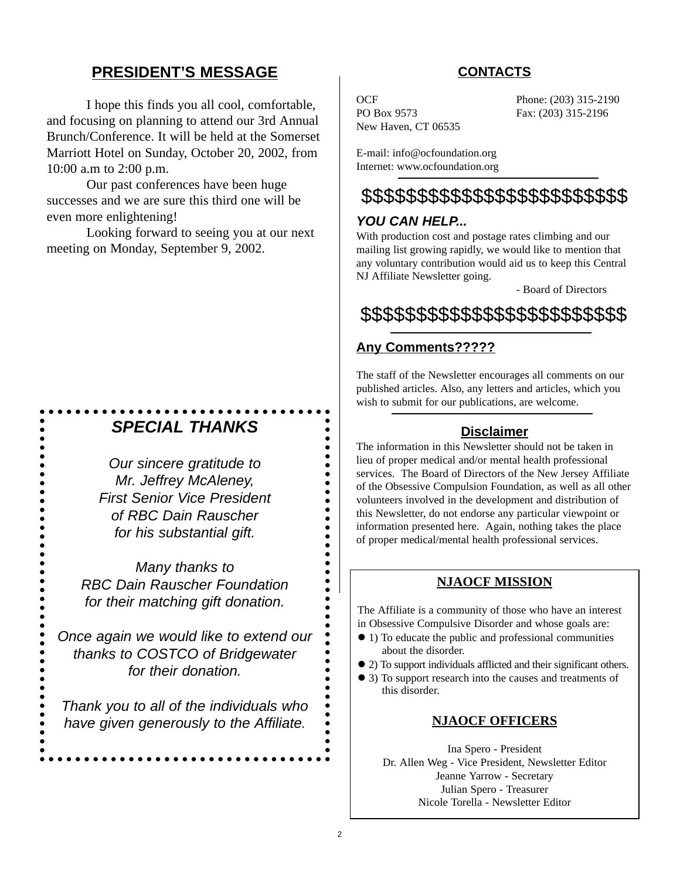# **PRESIDENT'S MESSAGE**

I hope this finds you all cool, comfortable, and focusing on planning to attend our 3rd Annual Brunch/Conference. It will be held at the Somerset Marriott Hotel on Sunday, October 20, 2002, from 10:00 a.m to 2:00 p.m.

Our past conferences have been huge successes and we are sure this third one will be even more enlightening!

Looking forward to seeing you at our next meeting on Monday, September 9, 2002.

# *SPECIAL THANKS*

 $\bullet$ 

 $\bullet$ 

 $\bullet$ 

 $\bullet$ 

 $\bullet$  $\bullet$ 

 $\bullet$  $\bullet$  $\bullet$ 

 $\bullet$ 

 $\bullet$ 

 $\bullet$  $\bullet$  $\bullet$  $\bullet$  $\bullet$ 

*Our sincere gratitude to Mr. Jeffrey McAleney, First Senior Vice President of RBC Dain Rauscher for his substantial gift.* 

*Many thanks to RBC Dain Rauscher Foundation for their matching gift donation.* 

*Once again we would like to extend our thanks to COSTCO of Bridgewater for their donation.*

*Thank you to all of the individuals who have given generously to the Affiliate.*

# **CONTACTS**

PO Box 9573 Fax: (203) 315-2196 New Haven, CT 06535

OCF Phone: (203) 315-2190

E-mail: info@ocfoundation.org Internet: www.ocfoundation.org

# \$\$\$\$\$\$\$\$\$\$\$\$\$\$\$\$\$\$\$\$\$\$\$\$

### *YOU CAN HELP...*

With production cost and postage rates climbing and our mailing list growing rapidly, we would like to mention that any voluntary contribution would aid us to keep this Central NJ Affiliate Newsletter going.

- Board of Directors

\$\$\$\$\$\$\$\$\$\$\$\$\$\$\$\$\$\$\$\$\$\$\$\$

# **Any Comments?????**

The staff of the Newsletter encourages all comments on our published articles. Also, any letters and articles, which you wish to submit for our publications, are welcome.

### **Disclaimer**

The information in this Newsletter should not be taken in lieu of proper medical and/or mental health professional services. The Board of Directors of the New Jersey Affiliate of the Obsessive Compulsion Foundation, as well as all other volunteers involved in the development and distribution of this Newsletter, do not endorse any particular viewpoint or information presented here. Again, nothing takes the place of proper medical/mental health professional services.

### **NJAOCF MISSION**

The Affiliate is a community of those who have an interest in Obsessive Compulsive Disorder and whose goals are:

- ! 1) To educate the public and professional communities about the disorder.
- ! 2) To support individuals afflicted and their significant others.
- ! 3) To support research into the causes and treatments of this disorder.

### **NJAOCF OFFICERS**

Ina Spero - President Dr. Allen Weg - Vice President, Newsletter Editor Jeanne Yarrow - Secretary Julian Spero - Treasurer Nicole Torella - Newsletter Editor

 $\bullet$  $\bullet$ 

 $\bullet$ 

 $\bullet$ 

-----<br>----

 $\bullet$ 

 $\bullet$ 

 $\bullet$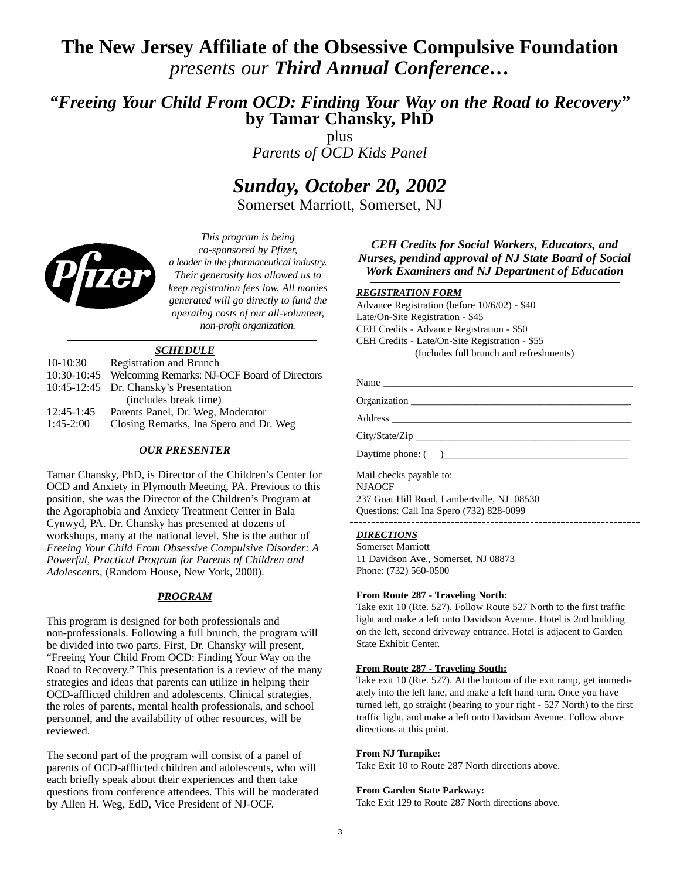# **The New Jersey Affiliate of the Obsessive Compulsive Foundation**  *presents our Third Annual Conference…*

# *"Freeing Your Child From OCD: Finding Your Way on the Road to Recovery"* **by Tamar Chansky, PhD**

plus *Parents of OCD Kids Panel*

# *Sunday, October 20, 2002*

Somerset Marriott, Somerset, NJ



*This program is being co-sponsored by Pfizer, a leader in the pharmaceutical industry. Their generosity has allowed us to keep registration fees low. All monies generated will go directly to fund the operating costs of our all-volunteer, non-profit organization.*

### *SCHEDULE*

| $10-10:30$   | Registration and Brunch                                  |
|--------------|----------------------------------------------------------|
|              | 10:30-10:45 Welcoming Remarks: NJ-OCF Board of Directors |
|              | 10:45-12:45 Dr. Chansky's Presentation                   |
|              | (includes break time)                                    |
| $12:45-1:45$ | Parents Panel, Dr. Weg, Moderator                        |
| $1:45-2:00$  | Closing Remarks, Ina Spero and Dr. Weg                   |
|              |                                                          |

### *OUR PRESENTER*

Tamar Chansky, PhD, is Director of the Children's Center for OCD and Anxiety in Plymouth Meeting, PA. Previous to this position, she was the Director of the Children's Program at the Agoraphobia and Anxiety Treatment Center in Bala Cynwyd, PA. Dr. Chansky has presented at dozens of workshops, many at the national level. She is the author of *Freeing Your Child From Obsessive Compulsive Disorder: A Powerful, Practical Program for Parents of Children and Adolescent*s, (Random House, New York, 2000).

### *PROGRAM*

This program is designed for both professionals and non-professionals. Following a full brunch, the program will be divided into two parts. First, Dr. Chansky will present, "Freeing Your Child From OCD: Finding Your Way on the Road to Recovery." This presentation is a review of the many strategies and ideas that parents can utilize in helping their OCD-afflicted children and adolescents. Clinical strategies, the roles of parents, mental health professionals, and school personnel, and the availability of other resources, will be reviewed.

The second part of the program will consist of a panel of parents of OCD-afflicted children and adolescents, who will each briefly speak about their experiences and then take questions from conference attendees. This will be moderated by Allen H. Weg, EdD, Vice President of NJ-OCF.

### *CEH Credits for Social Workers, Educators, and Nurses, pendind approval of NJ State Board of Social Work Examiners and NJ Department of Education*

### *REGISTRATION FORM*

Advance Registration (before 10/6/02) - \$40 Late/On-Site Registration - \$45 CEH Credits - Advance Registration - \$50 CEH Credits - Late/On-Site Registration - \$55 (Includes full brunch and refreshments)

| Daytime phone: () |  |
|-------------------|--|

237 Goat Hill Road, Lambertville, NJ 08530 Questions: Call Ina Spero (732) 828-0099 -----------------

### *DIRECTIONS*

Somerset Marriott 11 Davidson Ave., Somerset, NJ 08873 Phone: (732) 560-0500

### **From Route 287 - Traveling North:**

Take exit 10 (Rte. 527). Follow Route 527 North to the first traffic light and make a left onto Davidson Avenue. Hotel is 2nd building on the left, second driveway entrance. Hotel is adjacent to Garden State Exhibit Center.

### **From Route 287 - Traveling South:**

Take exit 10 (Rte. 527). At the bottom of the exit ramp, get immediately into the left lane, and make a left hand turn. Once you have turned left, go straight (bearing to your right - 527 North) to the first traffic light, and make a left onto Davidson Avenue. Follow above directions at this point.

#### **From NJ Turnpike:**

Take Exit 10 to Route 287 North directions above.

#### **From Garden State Parkway:**

Take Exit 129 to Route 287 North directions above.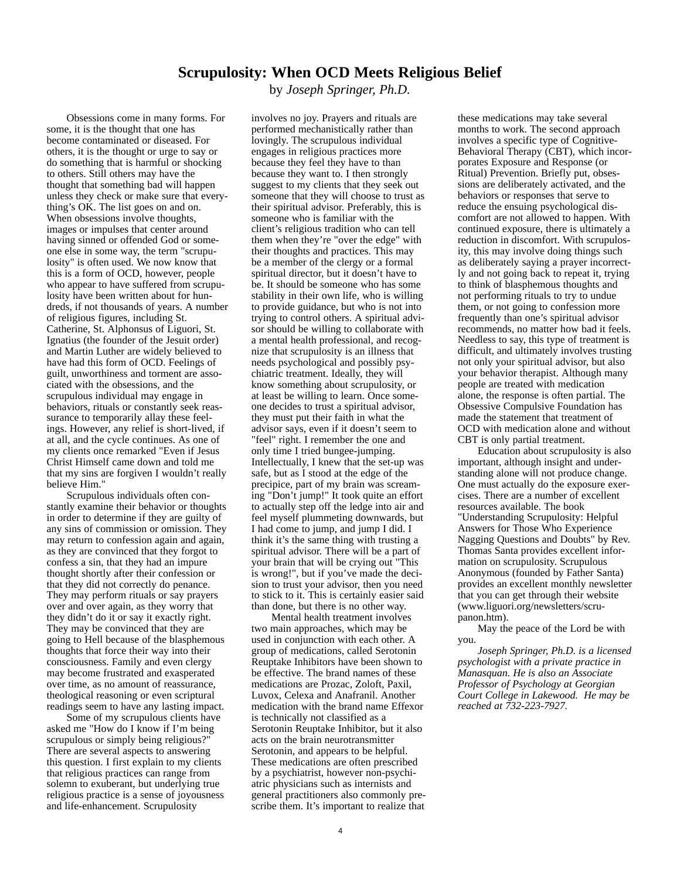### **Scrupulosity: When OCD Meets Religious Belief**

by *Joseph Springer, Ph.D.*

Obsessions come in many forms. For some, it is the thought that one has become contaminated or diseased. For others, it is the thought or urge to say or do something that is harmful or shocking to others. Still others may have the thought that something bad will happen unless they check or make sure that everything's OK. The list goes on and on. When obsessions involve thoughts, images or impulses that center around having sinned or offended God or someone else in some way, the term "scrupulosity" is often used. We now know that this is a form of OCD, however, people who appear to have suffered from scrupulosity have been written about for hundreds, if not thousands of years. A number of religious figures, including St. Catherine, St. Alphonsus of Liguori, St. Ignatius (the founder of the Jesuit order) and Martin Luther are widely believed to have had this form of OCD. Feelings of guilt, unworthiness and torment are associated with the obsessions, and the scrupulous individual may engage in behaviors, rituals or constantly seek reassurance to temporarily allay these feelings. However, any relief is short-lived, if at all, and the cycle continues. As one of my clients once remarked "Even if Jesus Christ Himself came down and told me that my sins are forgiven I wouldn't really believe Him."

Scrupulous individuals often constantly examine their behavior or thoughts in order to determine if they are guilty of any sins of commission or omission. They may return to confession again and again, as they are convinced that they forgot to confess a sin, that they had an impure thought shortly after their confession or that they did not correctly do penance. They may perform rituals or say prayers over and over again, as they worry that they didn't do it or say it exactly right. They may be convinced that they are going to Hell because of the blasphemous thoughts that force their way into their consciousness. Family and even clergy may become frustrated and exasperated over time, as no amount of reassurance, theological reasoning or even scriptural readings seem to have any lasting impact.

Some of my scrupulous clients have asked me "How do I know if I'm being scrupulous or simply being religious?" There are several aspects to answering this question. I first explain to my clients that religious practices can range from solemn to exuberant, but underlying true religious practice is a sense of joyousness and life-enhancement. Scrupulosity

involves no joy. Prayers and rituals are performed mechanistically rather than lovingly. The scrupulous individual engages in religious practices more because they feel they have to than because they want to. I then strongly suggest to my clients that they seek out someone that they will choose to trust as their spiritual advisor. Preferably, this is someone who is familiar with the client's religious tradition who can tell them when they're "over the edge" with their thoughts and practices. This may be a member of the clergy or a formal spiritual director, but it doesn't have to be. It should be someone who has some stability in their own life, who is willing to provide guidance, but who is not into trying to control others. A spiritual advisor should be willing to collaborate with a mental health professional, and recognize that scrupulosity is an illness that needs psychological and possibly psychiatric treatment. Ideally, they will know something about scrupulosity, or at least be willing to learn. Once someone decides to trust a spiritual advisor, they must put their faith in what the advisor says, even if it doesn't seem to "feel" right. I remember the one and only time I tried bungee-jumping. Intellectually, I knew that the set-up was safe, but as I stood at the edge of the precipice, part of my brain was screaming "Don't jump!" It took quite an effort to actually step off the ledge into air and feel myself plummeting downwards, but I had come to jump, and jump I did. I think it's the same thing with trusting a spiritual advisor. There will be a part of your brain that will be crying out "This is wrong!", but if you've made the decision to trust your advisor, then you need to stick to it. This is certainly easier said than done, but there is no other way.

Mental health treatment involves two main approaches, which may be used in conjunction with each other. A group of medications, called Serotonin Reuptake Inhibitors have been shown to be effective. The brand names of these medications are Prozac, Zoloft, Paxil, Luvox, Celexa and Anafranil. Another medication with the brand name Effexor is technically not classified as a Serotonin Reuptake Inhibitor, but it also acts on the brain neurotransmitter Serotonin, and appears to be helpful. These medications are often prescribed by a psychiatrist, however non-psychiatric physicians such as internists and general practitioners also commonly prescribe them. It's important to realize that these medications may take several months to work. The second approach involves a specific type of Cognitive-Behavioral Therapy (CBT), which incorporates Exposure and Response (or Ritual) Prevention. Briefly put, obsessions are deliberately activated, and the behaviors or responses that serve to reduce the ensuing psychological discomfort are not allowed to happen. With continued exposure, there is ultimately a reduction in discomfort. With scrupulosity, this may involve doing things such as deliberately saying a prayer incorrectly and not going back to repeat it, trying to think of blasphemous thoughts and not performing rituals to try to undue them, or not going to confession more frequently than one's spiritual advisor recommends, no matter how bad it feels. Needless to say, this type of treatment is difficult, and ultimately involves trusting not only your spiritual advisor, but also your behavior therapist. Although many people are treated with medication alone, the response is often partial. The Obsessive Compulsive Foundation has made the statement that treatment of OCD with medication alone and without CBT is only partial treatment.

Education about scrupulosity is also important, although insight and understanding alone will not produce change. One must actually do the exposure exercises. There are a number of excellent resources available. The book "Understanding Scrupulosity: Helpful Answers for Those Who Experience Nagging Questions and Doubts" by Rev. Thomas Santa provides excellent information on scrupulosity. Scrupulous Anonymous (founded by Father Santa) provides an excellent monthly newsletter that you can get through their website (www.liguori.org/newsletters/scrupanon.htm).

May the peace of the Lord be with you.

*Joseph Springer, Ph.D. is a licensed psychologist with a private practice in Manasquan. He is also an Associate Professor of Psychology at Georgian Court College in Lakewood. He may be reached at 732-223-7927.*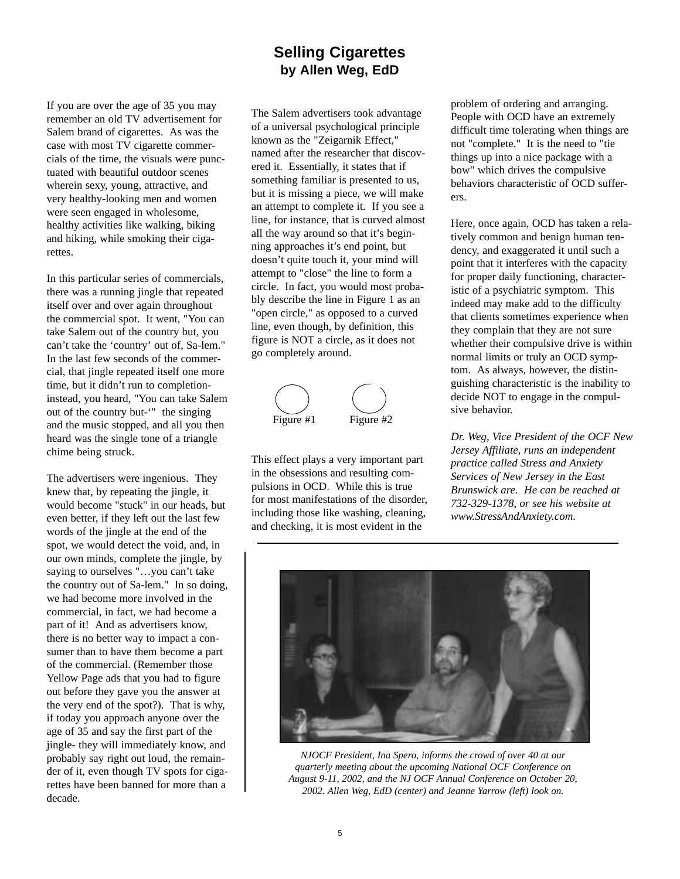# **Selling Cigarettes by Allen Weg, EdD**

If you are over the age of 35 you may remember an old TV advertisement for Salem brand of cigarettes. As was the case with most TV cigarette commercials of the time, the visuals were punctuated with beautiful outdoor scenes wherein sexy, young, attractive, and very healthy-looking men and women were seen engaged in wholesome, healthy activities like walking, biking and hiking, while smoking their cigarettes.

In this particular series of commercials, there was a running jingle that repeated itself over and over again throughout the commercial spot. It went, "You can take Salem out of the country but, you can't take the 'country' out of, Sa-lem." In the last few seconds of the commercial, that jingle repeated itself one more time, but it didn't run to completioninstead, you heard, "You can take Salem out of the country but-'" the singing and the music stopped, and all you then heard was the single tone of a triangle chime being struck.

The advertisers were ingenious. They knew that, by repeating the jingle, it would become "stuck" in our heads, but even better, if they left out the last few words of the jingle at the end of the spot, we would detect the void, and, in our own minds, complete the jingle, by saying to ourselves "…you can't take the country out of Sa-lem." In so doing, we had become more involved in the commercial, in fact, we had become a part of it! And as advertisers know, there is no better way to impact a consumer than to have them become a part of the commercial. (Remember those Yellow Page ads that you had to figure out before they gave you the answer at the very end of the spot?). That is why, if today you approach anyone over the age of 35 and say the first part of the jingle- they will immediately know, and probably say right out loud, the remainder of it, even though TV spots for cigarettes have been banned for more than a decade.

The Salem advertisers took advantage of a universal psychological principle known as the "Zeigarnik Effect," named after the researcher that discovered it. Essentially, it states that if something familiar is presented to us, but it is missing a piece, we will make an attempt to complete it. If you see a line, for instance, that is curved almost all the way around so that it's beginning approaches it's end point, but doesn't quite touch it, your mind will attempt to "close" the line to form a circle. In fact, you would most probably describe the line in Figure 1 as an "open circle," as opposed to a curved line, even though, by definition, this figure is NOT a circle, as it does not go completely around.



This effect plays a very important part in the obsessions and resulting compulsions in OCD. While this is true for most manifestations of the disorder, including those like washing, cleaning, and checking, it is most evident in the

problem of ordering and arranging. People with OCD have an extremely difficult time tolerating when things are not "complete." It is the need to "tie things up into a nice package with a bow" which drives the compulsive behaviors characteristic of OCD sufferers.

Here, once again, OCD has taken a relatively common and benign human tendency, and exaggerated it until such a point that it interferes with the capacity for proper daily functioning, characteristic of a psychiatric symptom. This indeed may make add to the difficulty that clients sometimes experience when they complain that they are not sure whether their compulsive drive is within normal limits or truly an OCD symptom. As always, however, the distinguishing characteristic is the inability to decide NOT to engage in the compulsive behavior.

*Dr. Weg, Vice President of the OCF New Jersey Affiliate, runs an independent practice called Stress and Anxiety Services of New Jersey in the East Brunswick are. He can be reached at 732-329-1378, or see his website at www.StressAndAnxiety.com.*



*NJOCF President, Ina Spero, informs the crowd of over 40 at our quarterly meeting about the upcoming National OCF Conference on August 9-11, 2002, and the NJ OCF Annual Conference on October 20, 2002. Allen Weg, EdD (center) and Jeanne Yarrow (left) look on.*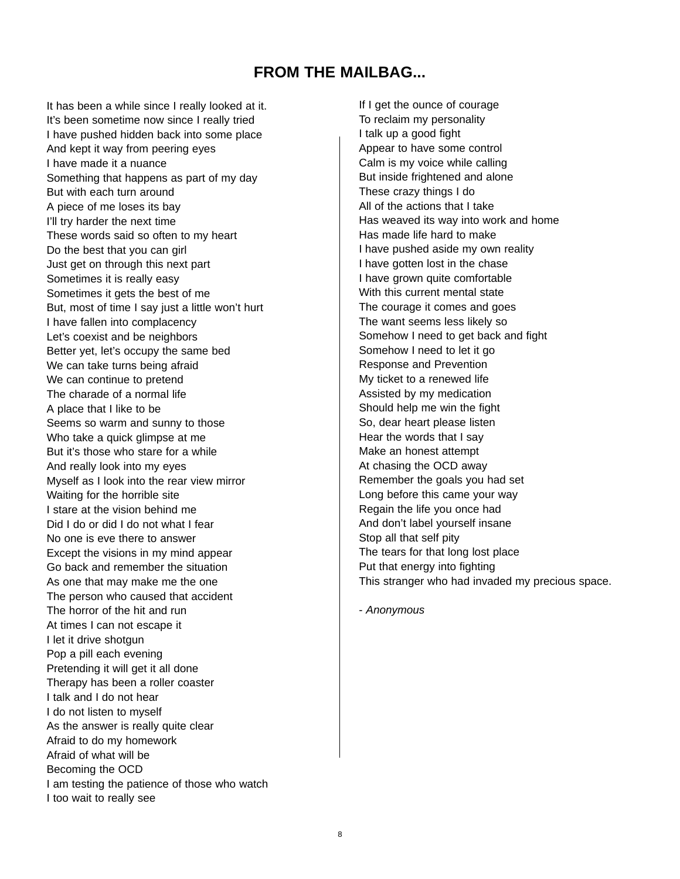# **FROM THE MAILBAG...**

It has been a while since I really looked at it. It's been sometime now since I really tried I have pushed hidden back into some place And kept it way from peering eyes I have made it a nuance Something that happens as part of my day But with each turn around A piece of me loses its bay I'll try harder the next time These words said so often to my heart Do the best that you can girl Just get on through this next part Sometimes it is really easy Sometimes it gets the best of me But, most of time I say just a little won't hurt I have fallen into complacency Let's coexist and be neighbors Better yet, let's occupy the same bed We can take turns being afraid We can continue to pretend The charade of a normal life A place that I like to be Seems so warm and sunny to those Who take a quick glimpse at me But it's those who stare for a while And really look into my eyes Myself as I look into the rear view mirror Waiting for the horrible site I stare at the vision behind me Did I do or did I do not what I fear No one is eve there to answer Except the visions in my mind appear Go back and remember the situation As one that may make me the one The person who caused that accident The horror of the hit and run At times I can not escape it I let it drive shotgun Pop a pill each evening Pretending it will get it all done Therapy has been a roller coaster I talk and I do not hear I do not listen to myself As the answer is really quite clear Afraid to do my homework Afraid of what will be Becoming the OCD I am testing the patience of those who watch I too wait to really see

If I get the ounce of courage To reclaim my personality I talk up a good fight Appear to have some control Calm is my voice while calling But inside frightened and alone These crazy things I do All of the actions that I take Has weaved its way into work and home Has made life hard to make I have pushed aside my own reality I have gotten lost in the chase I have grown quite comfortable With this current mental state The courage it comes and goes The want seems less likely so Somehow I need to get back and fight Somehow I need to let it go Response and Prevention My ticket to a renewed life Assisted by my medication Should help me win the fight So, dear heart please listen Hear the words that I say Make an honest attempt At chasing the OCD away Remember the goals you had set Long before this came your way Regain the life you once had And don't label yourself insane Stop all that self pity The tears for that long lost place Put that energy into fighting This stranger who had invaded my precious space.

- *Anonymous*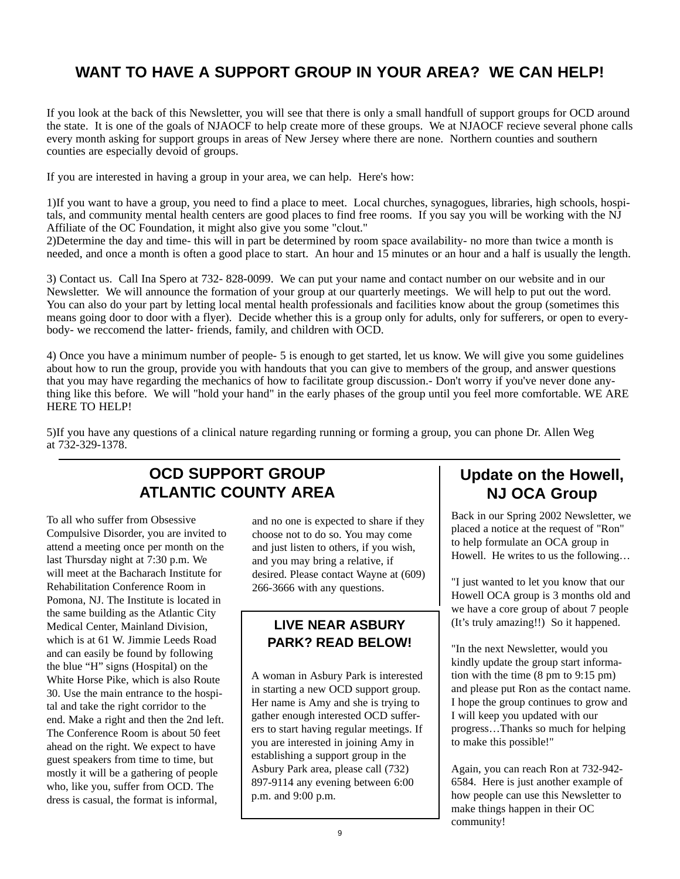# **WANT TO HAVE A SUPPORT GROUP IN YOUR AREA? WE CAN HELP!**

If you look at the back of this Newsletter, you will see that there is only a small handfull of support groups for OCD around the state. It is one of the goals of NJAOCF to help create more of these groups. We at NJAOCF recieve several phone calls every month asking for support groups in areas of New Jersey where there are none. Northern counties and southern counties are especially devoid of groups.

If you are interested in having a group in your area, we can help. Here's how:

1)If you want to have a group, you need to find a place to meet. Local churches, synagogues, libraries, high schools, hospitals, and community mental health centers are good places to find free rooms. If you say you will be working with the NJ Affiliate of the OC Foundation, it might also give you some "clout."

2)Determine the day and time- this will in part be determined by room space availability- no more than twice a month is needed, and once a month is often a good place to start. An hour and 15 minutes or an hour and a half is usually the length.

3) Contact us. Call Ina Spero at 732- 828-0099. We can put your name and contact number on our website and in our Newsletter. We will announce the formation of your group at our quarterly meetings. We will help to put out the word. You can also do your part by letting local mental health professionals and facilities know about the group (sometimes this means going door to door with a flyer). Decide whether this is a group only for adults, only for sufferers, or open to everybody- we reccomend the latter- friends, family, and children with OCD.

4) Once you have a minimum number of people- 5 is enough to get started, let us know. We will give you some guidelines about how to run the group, provide you with handouts that you can give to members of the group, and answer questions that you may have regarding the mechanics of how to facilitate group discussion.- Don't worry if you've never done anything like this before. We will "hold your hand" in the early phases of the group until you feel more comfortable. WE ARE HERE TO HELP!

5)If you have any questions of a clinical nature regarding running or forming a group, you can phone Dr. Allen Weg at 732-329-1378.

# **OCD SUPPORT GROUP ATLANTIC COUNTY AREA**

To all who suffer from Obsessive Compulsive Disorder, you are invited to attend a meeting once per month on the last Thursday night at 7:30 p.m. We will meet at the Bacharach Institute for Rehabilitation Conference Room in Pomona, NJ. The Institute is located in the same building as the Atlantic City Medical Center, Mainland Division, which is at 61 W. Jimmie Leeds Road and can easily be found by following the blue "H" signs (Hospital) on the White Horse Pike, which is also Route 30. Use the main entrance to the hospital and take the right corridor to the end. Make a right and then the 2nd left. The Conference Room is about 50 feet ahead on the right. We expect to have guest speakers from time to time, but mostly it will be a gathering of people who, like you, suffer from OCD. The dress is casual, the format is informal,

and no one is expected to share if they choose not to do so. You may come and just listen to others, if you wish, and you may bring a relative, if desired. Please contact Wayne at (609) 266-3666 with any questions.

# **LIVE NEAR ASBURY PARK? READ BELOW!**

A woman in Asbury Park is interested in starting a new OCD support group. Her name is Amy and she is trying to gather enough interested OCD sufferers to start having regular meetings. If you are interested in joining Amy in establishing a support group in the Asbury Park area, please call (732) 897-9114 any evening between 6:00 p.m. and 9:00 p.m.

# **Update on the Howell, NJ OCA Group**

Back in our Spring 2002 Newsletter, we placed a notice at the request of "Ron" to help formulate an OCA group in Howell. He writes to us the following…

"I just wanted to let you know that our Howell OCA group is 3 months old and we have a core group of about 7 people (It's truly amazing!!) So it happened.

"In the next Newsletter, would you kindly update the group start information with the time (8 pm to 9:15 pm) and please put Ron as the contact name. I hope the group continues to grow and I will keep you updated with our progress…Thanks so much for helping to make this possible!"

Again, you can reach Ron at 732-942- 6584. Here is just another example of how people can use this Newsletter to make things happen in their OC community!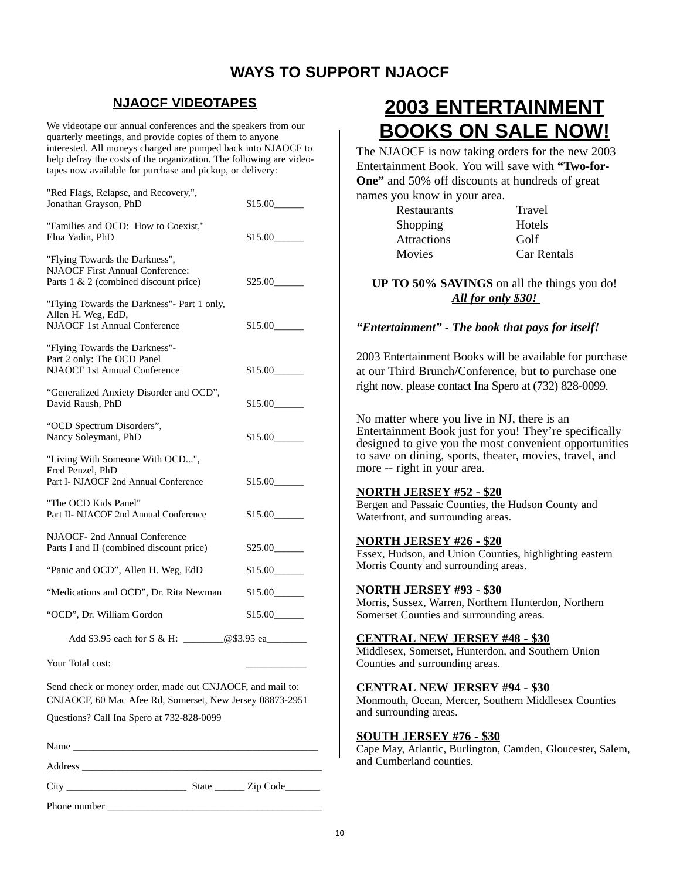# **WAYS TO SUPPORT NJAOCF**

# **NJAOCF VIDEOTAPES**

We videotape our annual conferences and the speakers from our quarterly meetings, and provide copies of them to anyone interested. All moneys charged are pumped back into NJAOCF to help defray the costs of the organization. The following are videotapes now available for purchase and pickup, or delivery:

| "Red Flags, Relapse, and Recovery,",<br>Jonathan Grayson, PhD                                                         | \$15.00 |
|-----------------------------------------------------------------------------------------------------------------------|---------|
| "Families and OCD: How to Coexist,"<br>Elna Yadin, PhD                                                                | \$15.00 |
| "Flying Towards the Darkness",<br><b>NJAOCF First Annual Conference:</b><br>Parts 1 & 2 (combined discount price)     | \$25.00 |
| "Flying Towards the Darkness"- Part 1 only,<br>Allen H. Weg, EdD,<br><b>NJAOCF 1st Annual Conference</b>              | \$15.00 |
| "Flying Towards the Darkness"-<br>Part 2 only: The OCD Panel<br><b>NJAOCF 1st Annual Conference</b>                   | \$15.00 |
| "Generalized Anxiety Disorder and OCD",<br>David Raush, PhD                                                           | \$15.00 |
| "OCD Spectrum Disorders",<br>Nancy Soleymani, PhD                                                                     | \$15.00 |
| "Living With Someone With OCD",<br>Fred Penzel, PhD<br>Part I- NJAOCF 2nd Annual Conference                           | \$15.00 |
| "The OCD Kids Panel"<br>Part II- NJACOF 2nd Annual Conference                                                         | \$15.00 |
| NJAOCF- 2nd Annual Conference<br>Parts I and II (combined discount price)                                             | \$25.00 |
| "Panic and OCD", Allen H. Weg, EdD                                                                                    | \$15.00 |
| "Medications and OCD", Dr. Rita Newman                                                                                | \$15.00 |
| "OCD", Dr. William Gordon                                                                                             | \$15.00 |
| Add \$3.95 each for S & H: _______@\$3.95 ea                                                                          |         |
| Your Total cost:                                                                                                      |         |
| Send check or money order, made out CNJAOCF, and mail to:<br>CNJAOCF, 60 Mac Afee Rd, Somerset, New Jersey 08873-2951 |         |

Questions? Call Ina Spero at 732-828-0099

Name \_\_\_\_\_\_\_\_\_\_\_\_\_\_\_\_\_\_\_\_\_\_\_\_\_\_\_\_\_\_\_\_\_\_\_\_\_\_\_\_\_\_\_\_\_\_\_\_\_

Address \_\_\_\_\_\_\_\_\_\_\_\_\_\_\_\_\_\_\_\_\_\_\_\_\_\_\_\_\_\_\_\_\_\_\_\_\_\_\_\_\_\_\_\_\_\_\_\_

City \_\_\_\_\_\_\_\_\_\_\_\_\_\_\_\_\_\_\_\_\_\_\_\_ State \_\_\_\_\_\_ Zip Code\_\_\_\_\_\_\_

Phone number

# **2003 ENTERTAINMENT BOOKS ON SALE NOW!**

The NJAOCF is now taking orders for the new 2003 Entertainment Book. You will save with **"Two-for-One"** and 50% off discounts at hundreds of great names you know in your area.

|          | Restaurants        |  |
|----------|--------------------|--|
| Shopping |                    |  |
|          | <b>Attractions</b> |  |
| Movies   |                    |  |
|          |                    |  |

Car Rentals

**Travel** Hotels Golf

**UP TO 50% SAVINGS** on all the things you do! *All for only \$30!* 

### *"Entertainment" - The book that pays for itself!*

2003 Entertainment Books will be available for purchase at our Third Brunch/Conference, but to purchase one right now, please contact Ina Spero at (732) 828-0099.

No matter where you live in NJ, there is an Entertainment Book just for you! They're specifically designed to give you the most convenient opportunities to save on dining, sports, theater, movies, travel, and more -- right in your area.

### **NORTH JERSEY #52 - \$20**

Bergen and Passaic Counties, the Hudson County and Waterfront, and surrounding areas.

### **NORTH JERSEY #26 - \$20**

Essex, Hudson, and Union Counties, highlighting eastern Morris County and surrounding areas.

### **NORTH JERSEY #93 - \$30**

Morris, Sussex, Warren, Northern Hunterdon, Northern Somerset Counties and surrounding areas.

### **CENTRAL NEW JERSEY #48 - \$30**

Middlesex, Somerset, Hunterdon, and Southern Union Counties and surrounding areas.

### **CENTRAL NEW JERSEY #94 - \$30**

Monmouth, Ocean, Mercer, Southern Middlesex Counties and surrounding areas.

### **SOUTH JERSEY #76 - \$30**

Cape May, Atlantic, Burlington, Camden, Gloucester, Salem, and Cumberland counties.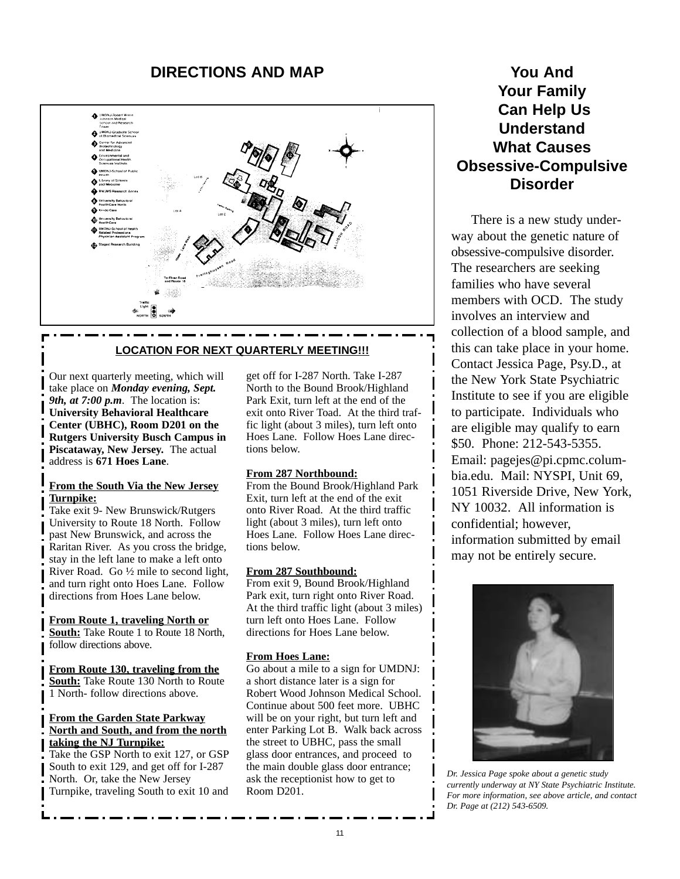## **DIRECTIONS AND MAP**



### **LOCATION FOR NEXT QUARTERLY MEETING!!!**

Our next quarterly meeting, which will take place on *Monday evening, Sept. 9th, at 7:00 p.m*. The location is: **University Behavioral Healthcare Center (UBHC), Room D201 on the Rutgers University Busch Campus in Piscataway, New Jersey.** The actual address is **671 Hoes Lane**.

### **From the South Via the New Jersey Turnpike:**

Take exit 9- New Brunswick/Rutgers University to Route 18 North. Follow past New Brunswick, and across the Raritan River. As you cross the bridge, stay in the left lane to make a left onto River Road. Go ½ mile to second light, and turn right onto Hoes Lane. Follow directions from Hoes Lane below.

**From Route 1, traveling North or South:** Take Route 1 to Route 18 North, follow directions above.

**From Route 130, traveling from the South:** Take Route 130 North to Route 1 North- follow directions above.

### **From the Garden State Parkway North and South, and from the north taking the NJ Turnpike:**

Take the GSP North to exit 127, or GSP South to exit 129, and get off for I-287 North. Or, take the New Jersey Turnpike, traveling South to exit 10 and

get off for I-287 North. Take I-287 North to the Bound Brook/Highland Park Exit, turn left at the end of the exit onto River Toad. At the third traffic light (about 3 miles), turn left onto Hoes Lane. Follow Hoes Lane directions below.

### **From 287 Northbound:**

From the Bound Brook/Highland Park Exit, turn left at the end of the exit onto River Road. At the third traffic light (about 3 miles), turn left onto Hoes Lane. Follow Hoes Lane directions below.

### **From 287 Southbound:**

From exit 9, Bound Brook/Highland Park exit, turn right onto River Road. At the third traffic light (about 3 miles) turn left onto Hoes Lane. Follow directions for Hoes Lane below.

### **From Hoes Lane:**

Go about a mile to a sign for UMDNJ: a short distance later is a sign for Robert Wood Johnson Medical School. Continue about 500 feet more. UBHC will be on your right, but turn left and enter Parking Lot B. Walk back across the street to UBHC, pass the small glass door entrances, and proceed to the main double glass door entrance; ask the receptionist how to get to Room D201.

# **You And Your Family Can Help Us Understand What Causes Obsessive-Compulsive Disorder**

There is a new study underway about the genetic nature of obsessive-compulsive disorder. The researchers are seeking families who have several members with OCD. The study involves an interview and collection of a blood sample, and this can take place in your home. Contact Jessica Page, Psy.D., at the New York State Psychiatric Institute to see if you are eligible to participate. Individuals who are eligible may qualify to earn \$50. Phone: 212-543-5355. Email: pagejes@pi.cpmc.columbia.edu. Mail: NYSPI, Unit 69, 1051 Riverside Drive, New York, NY 10032. All information is confidential; however, information submitted by email may not be entirely secure.



*Dr. Jessica Page spoke about a genetic study currently underway at NY State Psychiatric Institute. For more information, see above article, and contact Dr. Page at (212) 543-6509.*